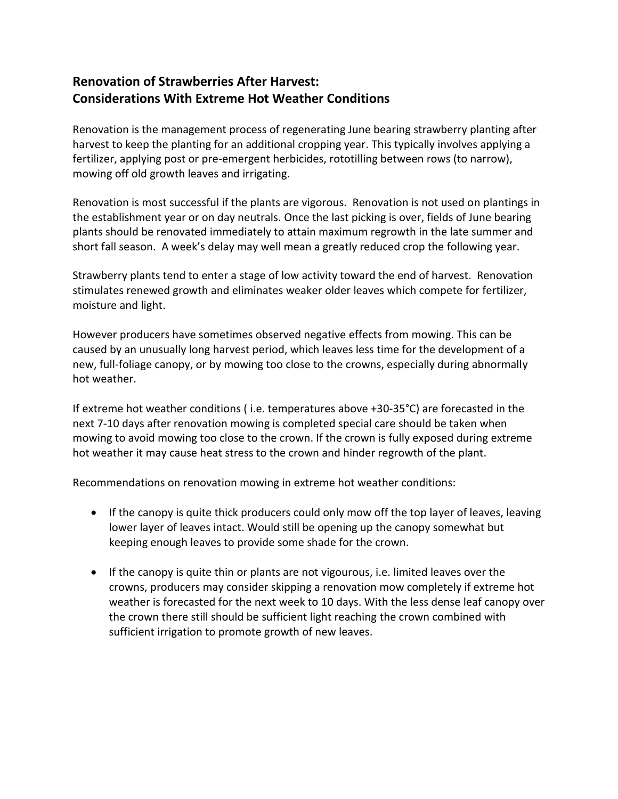## **Renovation of Strawberries After Harvest: Considerations With Extreme Hot Weather Conditions**

Renovation is the management process of regenerating June bearing strawberry planting after harvest to keep the planting for an additional cropping year. This typically involves applying a fertilizer, applying post or pre-emergent herbicides, rototilling between rows (to narrow), mowing off old growth leaves and irrigating.

Renovation is most successful if the plants are vigorous. Renovation is not used on plantings in the establishment year or on day neutrals. Once the last picking is over, fields of June bearing plants should be renovated immediately to attain maximum regrowth in the late summer and short fall season. A week's delay may well mean a greatly reduced crop the following year.

Strawberry plants tend to enter a stage of low activity toward the end of harvest. Renovation stimulates renewed growth and eliminates weaker older leaves which compete for fertilizer, moisture and light.

However producers have sometimes observed negative effects from mowing. This can be caused by an unusually long harvest period, which leaves less time for the development of a new, full-foliage canopy, or by mowing too close to the crowns, especially during abnormally hot weather.

If extreme hot weather conditions ( i.e. temperatures above +30-35°C) are forecasted in the next 7-10 days after renovation mowing is completed special care should be taken when mowing to avoid mowing too close to the crown. If the crown is fully exposed during extreme hot weather it may cause heat stress to the crown and hinder regrowth of the plant.

Recommendations on renovation mowing in extreme hot weather conditions:

- If the canopy is quite thick producers could only mow off the top layer of leaves, leaving lower layer of leaves intact. Would still be opening up the canopy somewhat but keeping enough leaves to provide some shade for the crown.
- If the canopy is quite thin or plants are not vigourous, i.e. limited leaves over the crowns, producers may consider skipping a renovation mow completely if extreme hot weather is forecasted for the next week to 10 days. With the less dense leaf canopy over the crown there still should be sufficient light reaching the crown combined with sufficient irrigation to promote growth of new leaves.